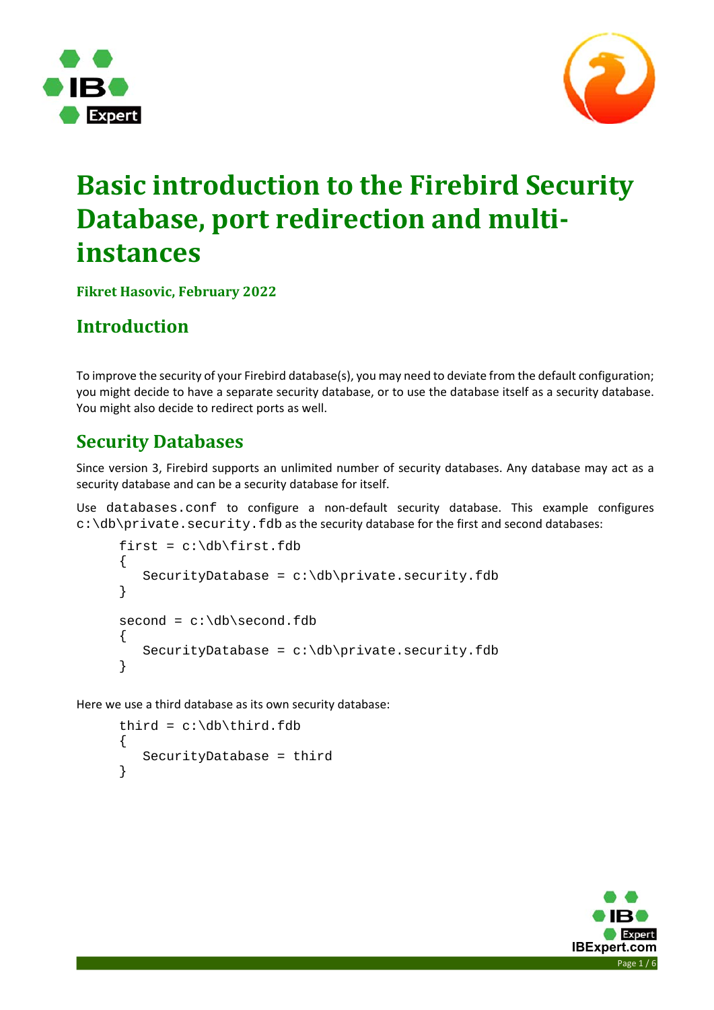



# **Basic introduction to the Firebird Security Database, port redirection and multi‐ instances**

**Fikret Hasovic, February 2022**

# **Introduction**

To improve the security of your Firebird database(s), you may need to deviate from the default configuration; you might decide to have a separate security database, or to use the database itself as a security database. You might also decide to redirect ports as well.

## **Security Databases**

Since version 3, Firebird supports an unlimited number of security databases. Any database may act as a security database and can be a security database for itself.

Use databases.conf to configure a non‐default security database. This example configures  $c:\db\prime$  private. security. fdb as the security database for the first and second databases:

```
first = c:\db\times first.fdb{ 
   SecurityDatabase = c:\db\private.security.fdb} 
second = c:\db\sec{ond.fdb}{ 
    SecurityDatabase = c:\db\private.security.fdb 
}
```
Here we use a third database as its own security database:

```
third = c:\db\t\t\tthird.fdb{ 
    SecurityDatabase = third 
}
```
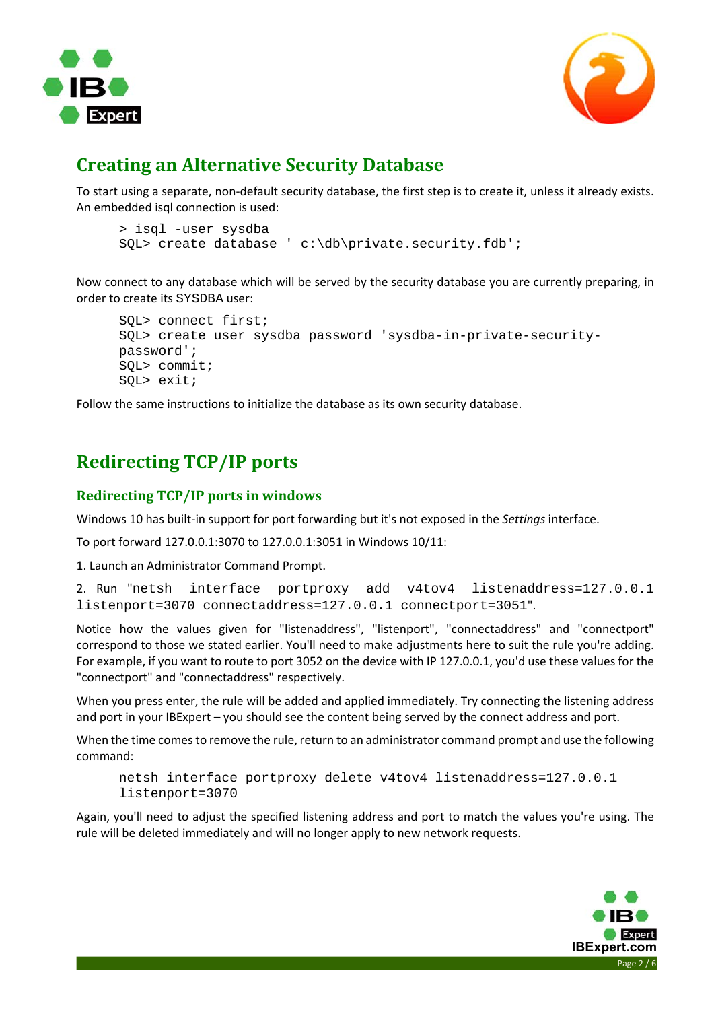



### **Creating an Alternative Security Database**

To start using a separate, non‐default security database, the first step is to create it, unless it already exists. An embedded isql connection is used:

```
> isql -user sysdba 
SQL> create database ' c:\db\private.security.fdb';
```
Now connect to any database which will be served by the security database you are currently preparing, in order to create its SYSDBA user:

```
SQL> connect first; 
SQL> create user sysdba password 'sysdba-in-private-security-
password'; 
SQL> commit; 
SQL> exit;
```
Follow the same instructions to initialize the database as its own security database.

# **Redirecting TCP/IP ports**

#### **Redirecting TCP/IP ports in windows**

Windows 10 has built‐in support for port forwarding but it's not exposed in the *Settings* interface.

To port forward 127.0.0.1:3070 to 127.0.0.1:3051 in Windows 10/11:

1. Launch an Administrator Command Prompt.

```
2.  Run  "netsh interface portproxy add v4tov4 listenaddress=127.0.0.1 
listenport=3070 connectaddress=127.0.0.1 connectport=3051".
```
Notice how the values given for "listenaddress", "listenport", "connectaddress" and "connectport" correspond to those we stated earlier. You'll need to make adjustments here to suit the rule you're adding. For example, if you want to route to port 3052 on the device with IP 127.0.0.1, you'd use these values for the "connectport" and "connectaddress" respectively.

When you press enter, the rule will be added and applied immediately. Try connecting the listening address and port in your IBExpert – you should see the content being served by the connect address and port.

When the time comes to remove the rule, return to an administrator command prompt and use the following command:

```
netsh interface portproxy delete v4tov4 listenaddress=127.0.0.1 
listenport=3070
```
Again, you'll need to adjust the specified listening address and port to match the values you're using. The rule will be deleted immediately and will no longer apply to new network requests.

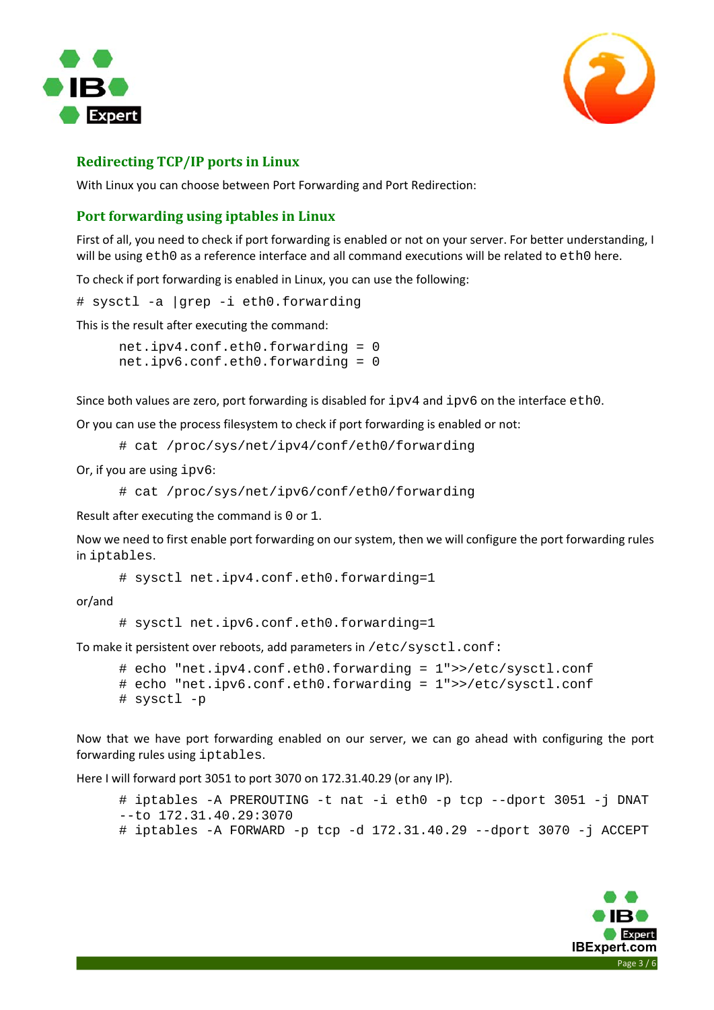



#### **Redirecting TCP/IP ports in Linux**

With Linux you can choose between Port Forwarding and Port Redirection:

#### **Port forwarding using iptables in Linux**

First of all, you need to check if port forwarding is enabled or not on your server. For better understanding, I will be using eth0 as a reference interface and all command executions will be related to eth0 here.

To check if port forwarding is enabled in Linux, you can use the following:

# sysctl -a |grep -i eth0.forwarding

This is the result after executing the command:

net.ipv4.conf.eth0.forwarding = 0 net.ipv6.conf.eth0.forwarding = 0

Since both values are zero, port forwarding is disabled for  $ipv4$  and  $ipv6$  on the interface  $eth0$ .

Or you can use the process filesystem to check if port forwarding is enabled or not:

# cat /proc/sys/net/ipv4/conf/eth0/forwarding

Or, if you are using ipv6:

```
# cat /proc/sys/net/ipv6/conf/eth0/forwarding
```
Result after executing the command is 0 or 1.

Now we need to first enable port forwarding on our system, then we will configure the port forwarding rules in iptables.

# sysctl net.ipv4.conf.eth0.forwarding=1

or/and

# sysctl net.ipv6.conf.eth0.forwarding=1

To make it persistent over reboots, add parameters in /etc/sysctl.conf:

# echo "net.ipv4.conf.eth0.forwarding = 1">>/etc/sysctl.conf # echo "net.ipv6.conf.eth0.forwarding = 1">>/etc/sysctl.conf # sysctl -p

Now that we have port forwarding enabled on our server, we can go ahead with configuring the port forwarding rules using iptables.

Here I will forward port 3051 to port 3070 on 172.31.40.29 (or any IP).

```
# iptables -A PREROUTING -t nat -i eth0 -p tcp --dport 3051 -j DNAT 
--to 172.31.40.29:3070 
# iptables -A FORWARD -p tcp -d 172.31.40.29 --dport 3070 -j ACCEPT
```
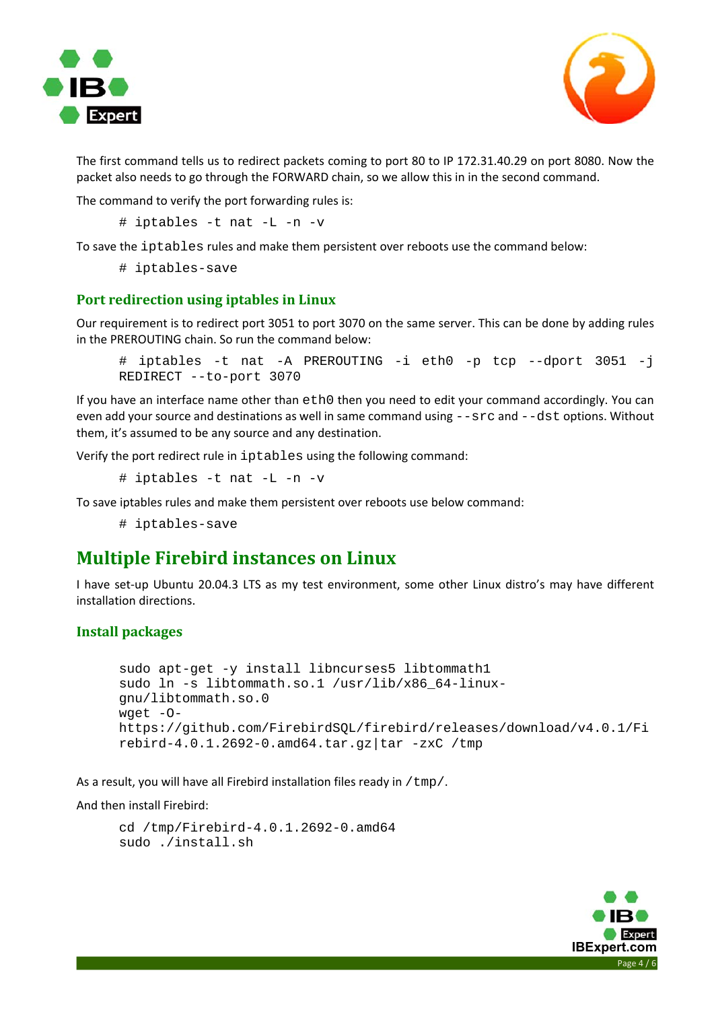



The first command tells us to redirect packets coming to port 80 to IP 172.31.40.29 on port 8080. Now the packet also needs to go through the FORWARD chain, so we allow this in in the second command.

The command to verify the port forwarding rules is:

```
# iptables -t nat -L -n -v
```
To save the iptables rules and make them persistent over reboots use the command below:

# iptables-save

#### **Port redirection using iptables in Linux**

Our requirement is to redirect port 3051 to port 3070 on the same server. This can be done by adding rules in the PREROUTING chain. So run the command below:

```
# iptables -t nat -A PREROUTING -i eth0 -p tcp --dport 3051 -j 
REDIRECT --to-port 3070
```
If you have an interface name other than eth0 then you need to edit your command accordingly. You can even add your source and destinations as well in same command using  $-\text{src}$  and  $-\text{dst}$  options. Without them, it's assumed to be any source and any destination.

Verify the port redirect rule in iptables using the following command:

# iptables -t nat -L -n -v

To save iptables rules and make them persistent over reboots use below command:

# iptables-save

### **Multiple Firebird instances on Linux**

I have set-up Ubuntu 20.04.3 LTS as my test environment, some other Linux distro's may have different installation directions.

#### **Install packages**

```
sudo apt-get -y install libncurses5 libtommath1
sudo ln -s libtommath.so.1 /usr/lib/x86_64-linux-
gnu/libtommath.so.0 
wget -O-
https://github.com/FirebirdSQL/firebird/releases/download/v4.0.1/Fi
rebird-4.0.1.2692-0.amd64.tar.gz|tar -zxC /tmp
```
As a result, you will have all Firebird installation files ready in  $/\text{tmp}/.$ 

And then install Firebird:

```
cd /tmp/Firebird-4.0.1.2692-0.amd64 
sudo ./install.sh
```
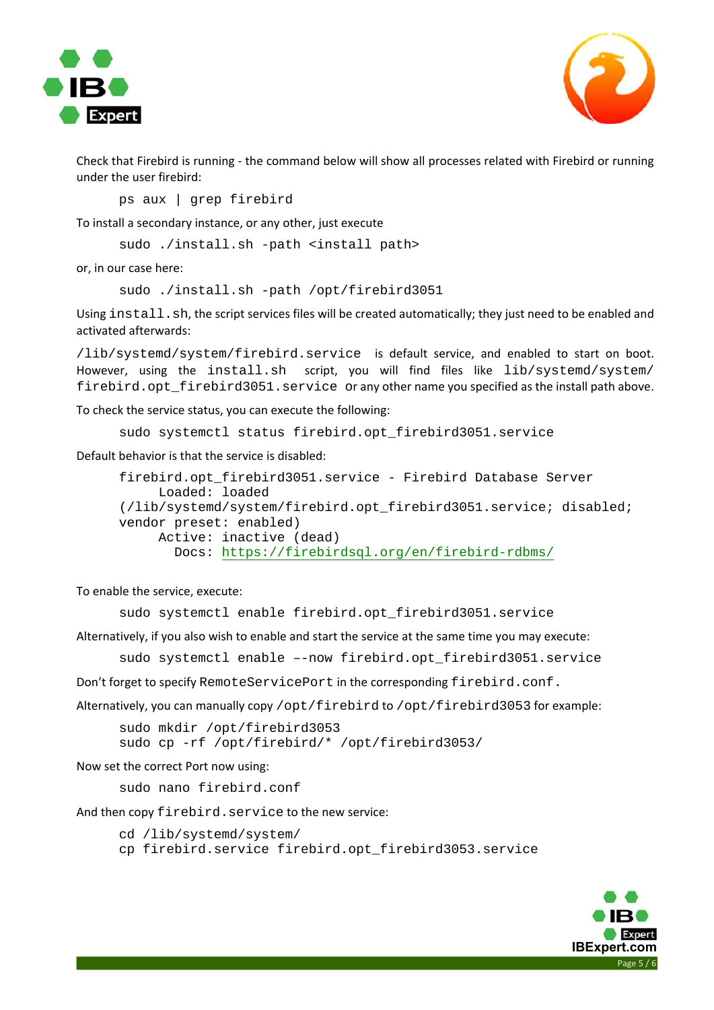



Check that Firebird is running ‐ the command below will show all processes related with Firebird or running under the user firebird:

ps aux | grep firebird

To install a secondary instance, or any other, just execute

sudo ./install.sh -path <install path>

or, in our case here:

sudo ./install.sh -path /opt/firebird3051

Using install.sh, the script services files will be created automatically; they just need to be enabled and activated afterwards:

/lib/systemd/system/firebird.service is default service, and enabled to start on boot. However, using the install.sh script, you will find files like lib/systemd/system/ firebird.opt\_firebird3051.service or any other name you specified as the install path above.

To check the service status, you can execute the following:

```
sudo systemctl status firebird.opt_firebird3051.service
```
Default behavior is that the service is disabled:

```
firebird.opt_firebird3051.service - Firebird Database Server 
      Loaded: loaded 
(/lib/systemd/system/firebird.opt_firebird3051.service; disabled; 
vendor preset: enabled) 
      Active: inactive (dead) 
        Docs: https://firebirdsql.org/en/firebird-rdbms/
```
To enable the service, execute:

sudo systemctl enable firebird.opt\_firebird3051.service

Alternatively, if you also wish to enable and start the service at the same time you may execute:

sudo systemctl enable –-now firebird.opt\_firebird3051.service

Don't forget to specify RemoteServicePort in the corresponding firebird.conf.

Alternatively, you can manually copy /opt/firebird to /opt/firebird3053 for example:

sudo mkdir /opt/firebird3053 sudo cp -rf /opt/firebird/\* /opt/firebird3053/

Now set the correct Port now using:

sudo nano firebird.conf

And then copy firebird.service to the new service:

cd /lib/systemd/system/

cp firebird.service firebird.opt\_firebird3053.service